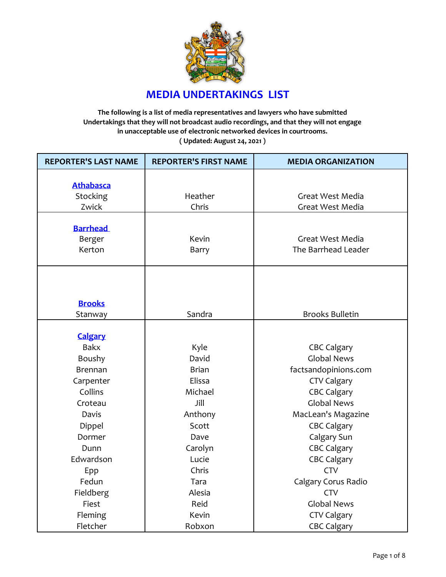

## **MEDIA UNDERTAKINGS LIST**

**The following is a list of media representatives and lawyers who have submitted Undertakings that they will not broadcast audio recordings, and that they will not engage in unacceptable use of electronic networked devices in courtrooms. ( Updated: August 24, 2021 )**

| <b>REPORTER'S LAST NAME</b> | <b>REPORTER'S FIRST NAME</b> | <b>MEDIA ORGANIZATION</b> |
|-----------------------------|------------------------------|---------------------------|
|                             |                              |                           |
| <b>Athabasca</b>            |                              |                           |
| Stocking                    | Heather                      | Great West Media          |
| Zwick                       | Chris                        | Great West Media          |
|                             |                              |                           |
| <b>Barrhead</b>             | Kevin                        | Great West Media          |
| Berger<br>Kerton            |                              | The Barrhead Leader       |
|                             | Barry                        |                           |
|                             |                              |                           |
|                             |                              |                           |
| <b>Brooks</b>               |                              |                           |
| Stanway                     | Sandra                       | <b>Brooks Bulletin</b>    |
|                             |                              |                           |
| <b>Calgary</b>              |                              |                           |
| <b>Bakx</b>                 | Kyle                         | <b>CBC Calgary</b>        |
| Boushy                      | David                        | <b>Global News</b>        |
| <b>Brennan</b>              | <b>Brian</b>                 | factsandopinions.com      |
| Carpenter                   | Elissa                       | <b>CTV Calgary</b>        |
| Collins                     | Michael                      | <b>CBC Calgary</b>        |
| Croteau                     | Jill                         | <b>Global News</b>        |
| Davis                       | Anthony                      | MacLean's Magazine        |
| Dippel                      | Scott                        | <b>CBC Calgary</b>        |
| Dormer                      | Dave                         | Calgary Sun               |
| Dunn                        | Carolyn                      | <b>CBC Calgary</b>        |
| Edwardson                   | Lucie                        | <b>CBC Calgary</b>        |
| Epp                         | Chris                        | <b>CTV</b>                |
| Fedun                       | Tara                         | Calgary Corus Radio       |
| Fieldberg                   | Alesia                       | <b>CTV</b>                |
| Fiest                       | Reid                         | <b>Global News</b>        |
| Fleming                     | Kevin                        | <b>CTV Calgary</b>        |
| Fletcher                    | Robxon                       | <b>CBC Calgary</b>        |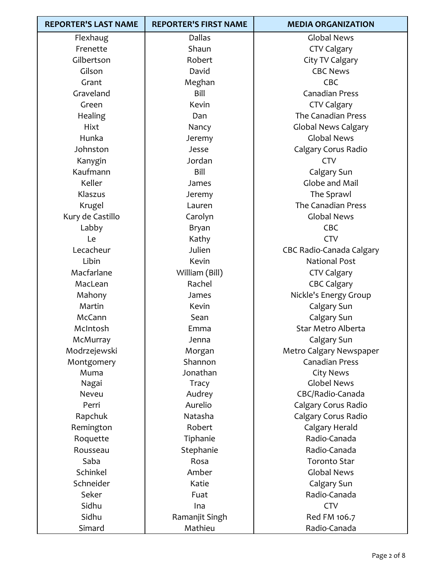| <b>REPORTER'S LAST NAME</b> | <b>REPORTER'S FIRST NAME</b> | <b>MEDIA ORGANIZATION</b>       |
|-----------------------------|------------------------------|---------------------------------|
| Flexhaug                    | <b>Dallas</b>                | <b>Global News</b>              |
| Frenette                    | Shaun                        | <b>CTV Calgary</b>              |
| Gilbertson                  | Robert                       | City TV Calgary                 |
| Gilson                      | David                        | <b>CBC News</b>                 |
| Grant                       | Meghan                       | CBC                             |
| Graveland                   | Bill                         | <b>Canadian Press</b>           |
| Green                       | Kevin                        | <b>CTV Calgary</b>              |
| Healing                     | Dan                          | The Canadian Press              |
| Hixt                        | Nancy                        | <b>Global News Calgary</b>      |
| Hunka                       | Jeremy                       | <b>Global News</b>              |
| Johnston                    | Jesse                        | Calgary Corus Radio             |
| Kanygin                     | Jordan                       | <b>CTV</b>                      |
| Kaufmann                    | Bill                         | Calgary Sun                     |
| Keller                      | James                        | Globe and Mail                  |
| Klaszus                     | Jeremy                       | The Sprawl                      |
| Krugel                      | Lauren                       | <b>The Canadian Press</b>       |
| Kury de Castillo            | Carolyn                      | <b>Global News</b>              |
| Labby                       | Bryan                        | CBC                             |
| Le                          | Kathy                        | <b>CTV</b>                      |
| Lecacheur                   | Julien                       | <b>CBC Radio-Canada Calgary</b> |
| Libin                       | Kevin                        | <b>National Post</b>            |
| Macfarlane                  | William (Bill)               | <b>CTV Calgary</b>              |
| MacLean                     | Rachel                       | <b>CBC Calgary</b>              |
| Mahony                      | James                        | Nickle's Energy Group           |
| Martin                      | Kevin                        | Calgary Sun                     |
| McCann                      | Sean                         | Calgary Sun                     |
| McIntosh                    | Emma                         | Star Metro Alberta              |
| McMurray                    | Jenna                        | Calgary Sun                     |
| Modrzejewski                | Morgan                       | Metro Calgary Newspaper         |
| Montgomery                  | Shannon                      | <b>Canadian Press</b>           |
| Muma                        | Jonathan                     | <b>City News</b>                |
| Nagai                       | Tracy                        | <b>Globel News</b>              |
| Neveu                       | Audrey                       | CBC/Radio-Canada                |
| Perri                       | Aurelio                      | Calgary Corus Radio             |
| Rapchuk                     | Natasha                      | Calgary Corus Radio             |
| Remington                   | Robert                       | Calgary Herald                  |
| Roquette                    | Tiphanie                     | Radio-Canada                    |
| Rousseau                    | Stephanie                    | Radio-Canada                    |
| Saba                        | Rosa                         | <b>Toronto Star</b>             |
| Schinkel                    | Amber                        | <b>Global News</b>              |
| Schneider                   | Katie                        | Calgary Sun                     |
| Seker                       | Fuat                         | Radio-Canada                    |
| Sidhu                       | Ina                          | <b>CTV</b>                      |
| Sidhu                       | Ramanjit Singh               | Red FM 106.7                    |
| Simard                      | Mathieu                      | Radio-Canada                    |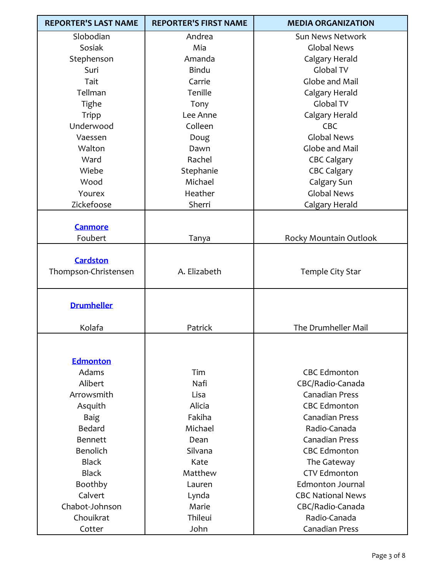| <b>REPORTER'S LAST NAME</b> | <b>REPORTER'S FIRST NAME</b> | <b>MEDIA ORGANIZATION</b> |
|-----------------------------|------------------------------|---------------------------|
| Slobodian                   | Andrea                       | Sun News Network          |
| Sosiak                      | Mia                          | <b>Global News</b>        |
| Stephenson                  | Amanda                       | Calgary Herald            |
| Suri                        | <b>Bindu</b>                 | Global TV                 |
| Tait                        | Carrie                       | Globe and Mail            |
| Tellman                     | Tenille                      | Calgary Herald            |
| Tighe                       | Tony                         | Global TV                 |
| <b>Tripp</b>                | Lee Anne                     | Calgary Herald            |
| Underwood                   | Colleen                      | <b>CBC</b>                |
| Vaessen                     | Doug                         | <b>Global News</b>        |
| Walton                      | Dawn                         | Globe and Mail            |
| Ward                        | Rachel                       | <b>CBC Calgary</b>        |
| Wiebe                       | Stephanie                    | <b>CBC Calgary</b>        |
| Wood                        | Michael                      | Calgary Sun               |
| Yourex                      | Heather                      | <b>Global News</b>        |
| Zickefoose                  | Sherri                       | Calgary Herald            |
|                             |                              |                           |
| <b>Canmore</b>              |                              |                           |
| Foubert                     | Tanya                        | Rocky Mountain Outlook    |
|                             |                              |                           |
| <b>Cardston</b>             |                              |                           |
| Thompson-Christensen        | A. Elizabeth                 | Temple City Star          |
|                             |                              |                           |
|                             |                              |                           |
| <b>Drumheller</b>           |                              |                           |
| Kolafa                      | Patrick                      | The Drumheller Mail       |
|                             |                              |                           |
|                             |                              |                           |
| <b>Edmonton</b>             |                              |                           |
| Adams                       | Tim                          | <b>CBC Edmonton</b>       |
| Alibert                     | Nafi                         | CBC/Radio-Canada          |
| Arrowsmith                  | Lisa                         | <b>Canadian Press</b>     |
| Asquith                     | Alicia                       | <b>CBC Edmonton</b>       |
| <b>Baig</b>                 | Fakiha                       | <b>Canadian Press</b>     |
| Bedard                      | Michael                      | Radio-Canada              |
| <b>Bennett</b>              | Dean                         | <b>Canadian Press</b>     |
| <b>Benolich</b>             | Silvana                      | <b>CBC Edmonton</b>       |
| <b>Black</b>                | Kate                         | The Gateway               |
| <b>Black</b>                | Matthew                      | <b>CTV Edmonton</b>       |
| Boothby                     | Lauren                       | <b>Edmonton Journal</b>   |
| Calvert                     | Lynda                        | <b>CBC National News</b>  |
| Chabot-Johnson              | Marie                        | CBC/Radio-Canada          |
| Chouikrat                   | Thileui                      | Radio-Canada              |
| Cotter                      | John                         | <b>Canadian Press</b>     |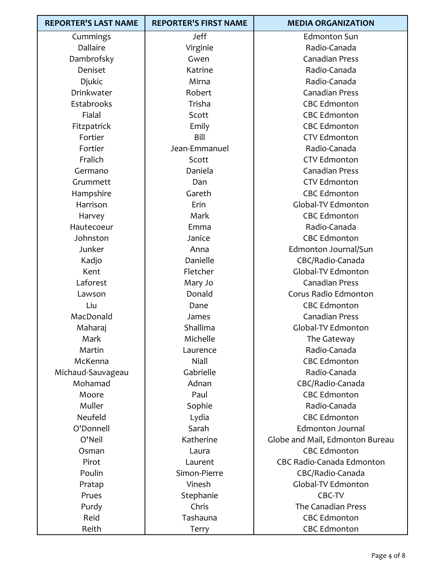| <b>REPORTER'S LAST NAME</b> | <b>REPORTER'S FIRST NAME</b> | <b>MEDIA ORGANIZATION</b>        |
|-----------------------------|------------------------------|----------------------------------|
| Cummings                    | Jeff                         | <b>Edmonton Sun</b>              |
| Dallaire                    | Virginie                     | Radio-Canada                     |
| Dambrofsky                  | Gwen                         | <b>Canadian Press</b>            |
| Deniset                     | Katrine                      | Radio-Canada                     |
| Djukic                      | Mirna                        | Radio-Canada                     |
| Drinkwater                  | Robert                       | <b>Canadian Press</b>            |
| Estabrooks                  | Trisha                       | <b>CBC Edmonton</b>              |
| Fialal                      | Scott                        | <b>CBC Edmonton</b>              |
| Fitzpatrick                 | Emily                        | <b>CBC Edmonton</b>              |
| Fortier                     | Bill                         | <b>CTV Edmonton</b>              |
| Fortier                     | Jean-Emmanuel                | Radio-Canada                     |
| Fralich                     | Scott                        | <b>CTV Edmonton</b>              |
| Germano                     | Daniela                      | <b>Canadian Press</b>            |
| Grummett                    | Dan                          | <b>CTV Edmonton</b>              |
| Hampshire                   | Gareth                       | <b>CBC Edmonton</b>              |
| Harrison                    | Erin                         | Global-TV Edmonton               |
| Harvey                      | Mark                         | <b>CBC Edmonton</b>              |
| Hautecoeur                  | Emma                         | Radio-Canada                     |
| Johnston                    | Janice                       | <b>CBC Edmonton</b>              |
| Junker                      | Anna                         | Edmonton Journal/Sun             |
| Kadjo                       | Danielle                     | CBC/Radio-Canada                 |
| Kent                        | Fletcher                     | Global-TV Edmonton               |
| Laforest                    | Mary Jo                      | <b>Canadian Press</b>            |
| Lawson                      | Donald                       | Corus Radio Edmonton             |
| Liu                         | Dane                         | <b>CBC Edmonton</b>              |
| MacDonald                   | James                        | <b>Canadian Press</b>            |
| Maharaj                     | Shallima                     | Global-TV Edmonton               |
| Mark                        | Michelle                     | The Gateway                      |
| Martin                      | Laurence                     | Radio-Canada                     |
| McKenna                     | Niall                        | <b>CBC Edmonton</b>              |
| Michaud-Sauvageau           | Gabrielle                    | Radio-Canada                     |
| Mohamad                     | Adnan                        | CBC/Radio-Canada                 |
| Moore                       | Paul                         | <b>CBC Edmonton</b>              |
| Muller                      | Sophie                       | Radio-Canada                     |
| Neufeld                     | Lydia                        | <b>CBC Edmonton</b>              |
| O'Donnell                   | Sarah                        | <b>Edmonton Journal</b>          |
| O'Neil                      | Katherine                    | Globe and Mail, Edmonton Bureau  |
| Osman                       | Laura                        | <b>CBC Edmonton</b>              |
| Pirot                       | Laurent                      | <b>CBC Radio-Canada Edmonton</b> |
| Poulin                      | Simon-Pierre                 | CBC/Radio-Canada                 |
| Pratap                      | Vinesh                       | Global-TV Edmonton               |
| Prues                       | Stephanie                    | CBC-TV                           |
| Purdy                       | Chris                        | <b>The Canadian Press</b>        |
| Reid                        | Tashauna                     | <b>CBC Edmonton</b>              |
| Reith                       | Terry                        | <b>CBC Edmonton</b>              |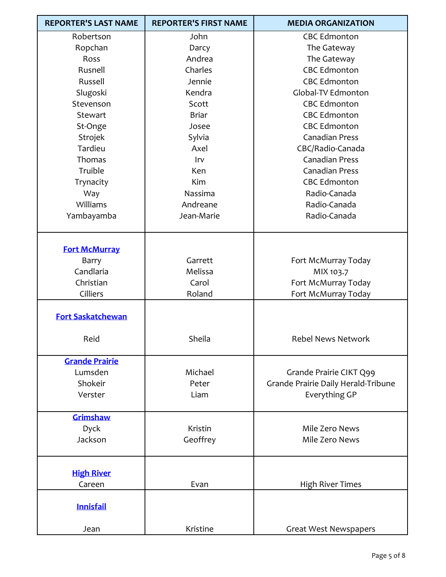| <b>REPORTER'S LAST NAME</b> | <b>REPORTER'S FIRST NAME</b> | <b>MEDIA ORGANIZATION</b>           |
|-----------------------------|------------------------------|-------------------------------------|
| Robertson                   | John                         | <b>CBC Edmonton</b>                 |
| Ropchan                     | Darcy                        | The Gateway                         |
| <b>Ross</b>                 | Andrea                       | The Gateway                         |
| Rusnell                     | Charles                      | <b>CBC Edmonton</b>                 |
| Russell                     | Jennie                       | <b>CBC Edmonton</b>                 |
| Slugoski                    | Kendra                       | Global-TV Edmonton                  |
| Stevenson                   | Scott                        | <b>CBC Edmonton</b>                 |
| Stewart                     | <b>Briar</b>                 | <b>CBC Edmonton</b>                 |
| St-Onge                     | Josee                        | <b>CBC Edmonton</b>                 |
| Strojek                     | Sylvia                       | <b>Canadian Press</b>               |
| Tardieu                     | Axel                         | CBC/Radio-Canada                    |
| Thomas                      | Irv                          | <b>Canadian Press</b>               |
| Truible                     | <b>Ken</b>                   | <b>Canadian Press</b>               |
| Trynacity                   | Kim                          | <b>CBC Edmonton</b>                 |
| Way                         | Nassima                      | Radio-Canada                        |
| Williams                    | Andreane                     | Radio-Canada                        |
| Yambayamba                  | Jean-Marie                   | Radio-Canada                        |
|                             |                              |                                     |
|                             |                              |                                     |
| <b>Fort McMurray</b>        |                              |                                     |
| Barry                       | Garrett                      | Fort McMurray Today                 |
| Candlaria                   | Melissa                      | MIX 103.7                           |
| Christian                   | Carol                        | Fort McMurray Today                 |
| Cilliers                    | Roland                       | Fort McMurray Today                 |
| <b>Fort Saskatchewan</b>    |                              |                                     |
|                             |                              |                                     |
| Reid                        | Sheila                       | <b>Rebel News Network</b>           |
|                             |                              |                                     |
| <b>Grande Prairie</b>       |                              |                                     |
| Lumsden                     | Michael                      | Grande Prairie CIKT Q99             |
| Shokeir                     | Peter                        | Grande Prairie Daily Herald-Tribune |
| Verster                     | Liam                         | Everything GP                       |
|                             |                              |                                     |
| Grimshaw                    |                              |                                     |
| Dyck                        | Kristin                      | Mile Zero News                      |
| Jackson                     | Geoffrey                     | Mile Zero News                      |
|                             |                              |                                     |
|                             |                              |                                     |
| <b>High River</b>           |                              |                                     |
| Careen                      | Evan                         | <b>High River Times</b>             |
|                             |                              |                                     |
| <b>Innisfail</b>            |                              |                                     |
|                             |                              |                                     |
| Jean                        | Kristine                     | <b>Great West Newspapers</b>        |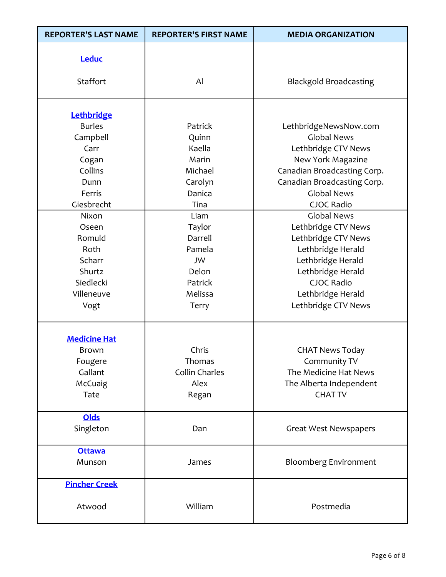| <b>REPORTER'S LAST NAME</b>                                                                         | <b>REPORTER'S FIRST NAME</b>                                                      | <b>MEDIA ORGANIZATION</b>                                                                                                                                                                        |
|-----------------------------------------------------------------------------------------------------|-----------------------------------------------------------------------------------|--------------------------------------------------------------------------------------------------------------------------------------------------------------------------------------------------|
| Leduc<br>Staffort                                                                                   | Al                                                                                | <b>Blackgold Broadcasting</b>                                                                                                                                                                    |
| Lethbridge<br><b>Burles</b><br>Campbell<br>Carr<br>Cogan<br>Collins<br>Dunn<br>Ferris<br>Giesbrecht | Patrick<br>Quinn<br>Kaella<br>Marin<br>Michael<br>Carolyn<br>Danica<br>Tina       | LethbridgeNewsNow.com<br><b>Global News</b><br>Lethbridge CTV News<br>New York Magazine<br>Canadian Broadcasting Corp.<br>Canadian Broadcasting Corp.<br><b>Global News</b><br>CJOC Radio        |
| Nixon<br>Oseen<br>Romuld<br>Roth<br>Scharr<br>Shurtz<br>Siedlecki<br>Villeneuve<br>Vogt             | Liam<br>Taylor<br>Darrell<br>Pamela<br>JW<br>Delon<br>Patrick<br>Melissa<br>Terry | <b>Global News</b><br>Lethbridge CTV News<br>Lethbridge CTV News<br>Lethbridge Herald<br>Lethbridge Herald<br>Lethbridge Herald<br><b>CJOC Radio</b><br>Lethbridge Herald<br>Lethbridge CTV News |
| <b>Medicine Hat</b><br>Brown<br>Fougere<br>Gallant<br>McCuaig<br>Tate                               | Chris<br>Thomas<br>Collin Charles<br>Alex<br>Regan                                | <b>CHAT News Today</b><br>Community TV<br>The Medicine Hat News<br>The Alberta Independent<br><b>CHAT TV</b>                                                                                     |
| <b>Olds</b><br>Singleton                                                                            | Dan                                                                               | <b>Great West Newspapers</b>                                                                                                                                                                     |
| <b>Ottawa</b><br>Munson                                                                             | James                                                                             | <b>Bloomberg Environment</b>                                                                                                                                                                     |
| <b>Pincher Creek</b><br>Atwood                                                                      | William                                                                           | Postmedia                                                                                                                                                                                        |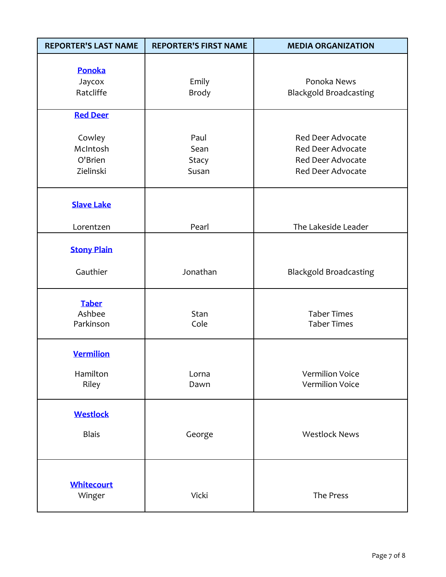| <b>REPORTER'S LAST NAME</b>                | <b>REPORTER'S FIRST NAME</b>          | <b>MEDIA ORGANIZATION</b>                                                                             |
|--------------------------------------------|---------------------------------------|-------------------------------------------------------------------------------------------------------|
| Ponoka<br>Jaycox<br>Ratcliffe              | Emily<br><b>Brody</b>                 | Ponoka News<br><b>Blackgold Broadcasting</b>                                                          |
| <b>Red Deer</b>                            |                                       |                                                                                                       |
| Cowley<br>McIntosh<br>O'Brien<br>Zielinski | Paul<br>Sean<br><b>Stacy</b><br>Susan | <b>Red Deer Advocate</b><br><b>Red Deer Advocate</b><br><b>Red Deer Advocate</b><br>Red Deer Advocate |
| <b>Slave Lake</b>                          |                                       |                                                                                                       |
| Lorentzen                                  | Pearl                                 | The Lakeside Leader                                                                                   |
| <b>Stony Plain</b>                         |                                       |                                                                                                       |
| Gauthier                                   | Jonathan                              | <b>Blackgold Broadcasting</b>                                                                         |
| <b>Taber</b><br>Ashbee<br>Parkinson        | Stan<br>Cole                          | <b>Taber Times</b><br><b>Taber Times</b>                                                              |
| <b>Vermilion</b>                           |                                       |                                                                                                       |
| Hamilton<br>Riley                          | Lorna<br>Dawn                         | <b>Vermilion Voice</b><br><b>Vermilion Voice</b>                                                      |
| <b>Westlock</b>                            |                                       |                                                                                                       |
| <b>Blais</b>                               | George                                | <b>Westlock News</b>                                                                                  |
| <b>Whitecourt</b><br>Winger                | Vicki                                 | The Press                                                                                             |